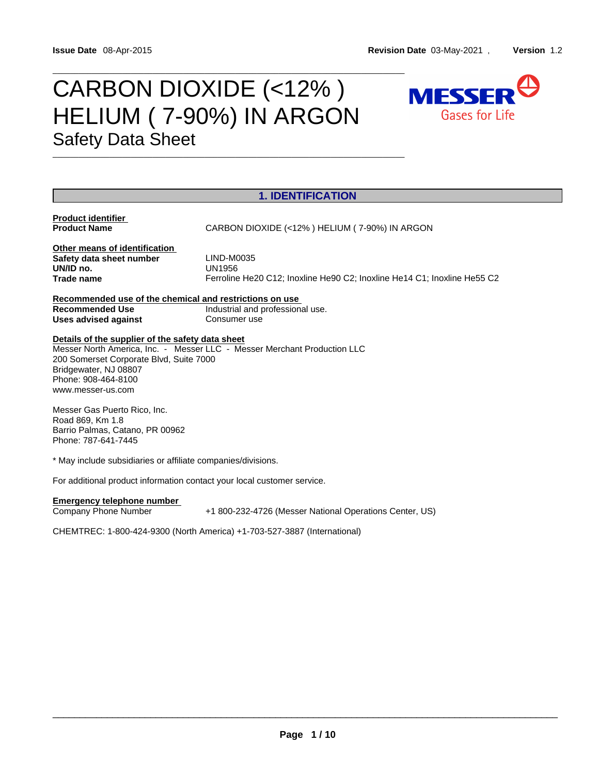# CARBON DIOXIDE (<12% ) MESSER HELIUM (7-90%) IN ARGON Gases for Life Safety Data Sheet

\_\_\_\_\_\_\_\_\_\_\_\_\_\_\_\_\_\_\_\_\_\_\_\_\_\_\_\_\_\_\_\_\_\_\_\_\_\_\_\_\_\_\_\_\_\_\_\_\_\_\_\_\_\_\_\_\_\_\_\_\_\_\_\_\_\_\_\_\_\_\_\_\_\_\_\_\_\_\_\_\_

\_\_\_\_\_\_\_\_\_\_\_\_\_\_\_\_\_\_\_\_\_\_\_\_\_\_\_\_\_\_\_\_\_\_\_\_\_\_\_\_\_\_\_\_\_\_\_\_\_\_\_\_\_\_\_\_\_\_\_\_\_\_\_\_\_\_\_\_\_\_\_\_\_\_\_\_\_\_\_\_\_



CHEMTREC: 1-800-424-9300 (North America) +1-703-527-3887 (International)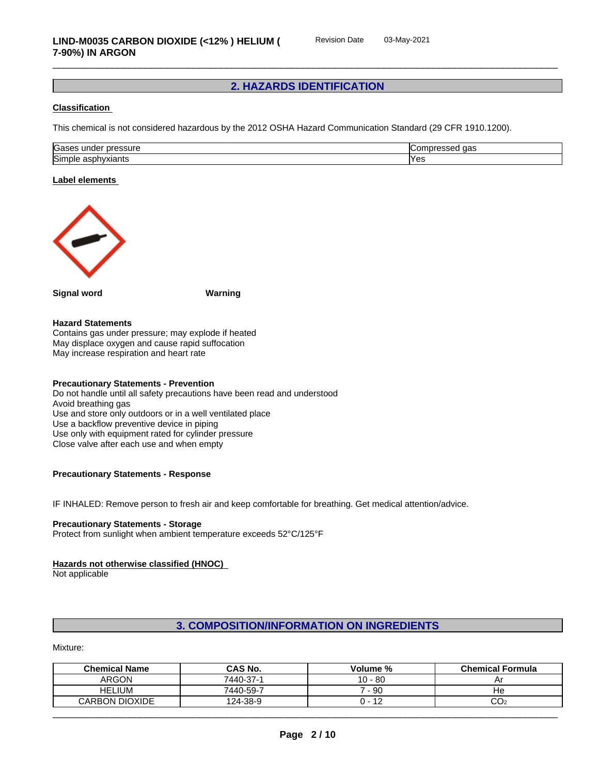# **2. HAZARDS IDENTIFICATION**

#### **Classification**

This chemical is not considered hazardous by the 2012 OSHA Hazard Communication Standard (29 CFR 1910.1200).

| <b>Gases</b>                                   | aas  |
|------------------------------------------------|------|
| essure                                         | l∪or |
| under                                          | ⊣DI∺ |
| Simple<br>1.01000<br>n o r<br>nvxiants<br>asur | 'Yes |

#### **Label elements**



**Signal word Warning**

#### **Hazard Statements**

Contains gas under pressure; may explode if heated May displace oxygen and cause rapid suffocation May increase respiration and heart rate

#### **Precautionary Statements - Prevention**

Do not handle until all safety precautions have been read and understood Avoid breathing gas Use and store only outdoors or in a well ventilated place Use a backflow preventive device in piping Use only with equipment rated for cylinder pressure Close valve after each use and when empty

#### **Precautionary Statements - Response**

IF INHALED: Remove person to fresh air and keep comfortable for breathing. Get medical attention/advice.

#### **Precautionary Statements - Storage**

Protect from sunlight when ambient temperature exceeds 52°C/125°F

#### **Hazards not otherwise classified (HNOC)**

Not applicable

# **3. COMPOSITION/INFORMATION ON INGREDIENTS**

Mixture:

| <b>Chemical Name</b>  | <b>CAS No.</b> | Volume %              | <b>Chemical Formula</b> |
|-----------------------|----------------|-----------------------|-------------------------|
| <b>ARGON</b>          | 7440-37-1      | $10 - 80$             | Αì                      |
| <b>HELIUM</b>         | 7440-59-7      | - 90                  | He                      |
| <b>CARBON DIOXIDE</b> | 124-38-9       | $\overline{A}$<br>. . | ◡◡∠                     |
|                       |                |                       |                         |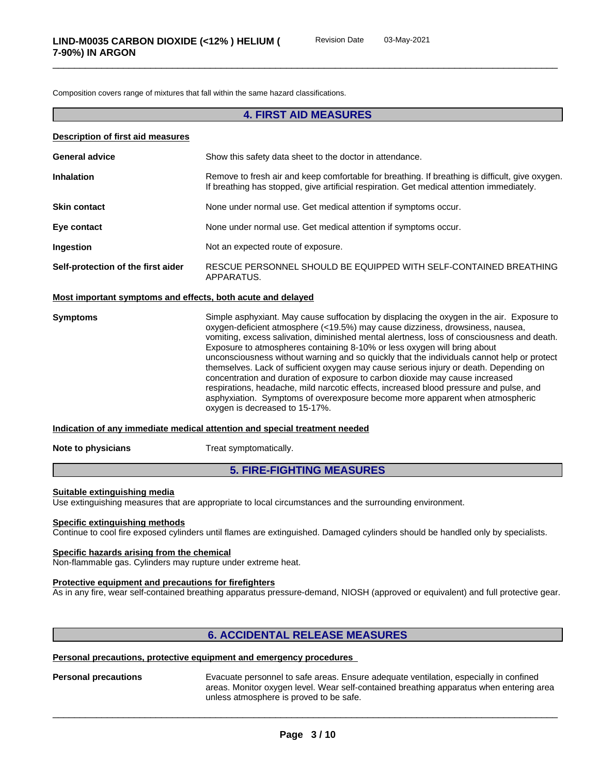Composition covers range of mixtures that fall within the same hazard classifications.

# **4. FIRST AID MEASURES**

#### **Description of first aid measures**

| <b>General advice</b>              | Show this safety data sheet to the doctor in attendance.                                                                                                                                     |
|------------------------------------|----------------------------------------------------------------------------------------------------------------------------------------------------------------------------------------------|
| <b>Inhalation</b>                  | Remove to fresh air and keep comfortable for breathing. If breathing is difficult, give oxygen.<br>If breathing has stopped, give artificial respiration. Get medical attention immediately. |
| <b>Skin contact</b>                | None under normal use. Get medical attention if symptoms occur.                                                                                                                              |
| Eye contact                        | None under normal use. Get medical attention if symptoms occur.                                                                                                                              |
| Ingestion                          | Not an expected route of exposure.                                                                                                                                                           |
| Self-protection of the first aider | RESCUE PERSONNEL SHOULD BE EQUIPPED WITH SELF-CONTAINED BREATHING<br>APPARATUS.                                                                                                              |

#### **Most important symptoms and effects, both acute and delayed**

| <b>Symptoms</b> | Simple asphyxiant. May cause suffocation by displacing the oxygen in the air. Exposure to<br>oxygen-deficient atmosphere (<19.5%) may cause dizziness, drowsiness, nausea,<br>vomiting, excess salivation, diminished mental alertness, loss of consciousness and death.<br>Exposure to atmospheres containing 8-10% or less oxygen will bring about<br>unconsciousness without warning and so quickly that the individuals cannot help or protect<br>themselves. Lack of sufficient oxygen may cause serious injury or death. Depending on<br>concentration and duration of exposure to carbon dioxide may cause increased<br>respirations, headache, mild narcotic effects, increased blood pressure and pulse, and<br>asphyxiation. Symptoms of overexposure become more apparent when atmospheric |  |
|-----------------|-------------------------------------------------------------------------------------------------------------------------------------------------------------------------------------------------------------------------------------------------------------------------------------------------------------------------------------------------------------------------------------------------------------------------------------------------------------------------------------------------------------------------------------------------------------------------------------------------------------------------------------------------------------------------------------------------------------------------------------------------------------------------------------------------------|--|
|                 | oxygen is decreased to 15-17%.                                                                                                                                                                                                                                                                                                                                                                                                                                                                                                                                                                                                                                                                                                                                                                        |  |

**Note to physicians** Treat symptomatically.

#### **5. FIRE-FIGHTING MEASURES**

#### **Suitable extinguishing media**

Use extinguishing measures that are appropriate to local circumstances and the surrounding environment.

#### **Specific extinguishing methods**

Continue to cool fire exposed cylinders untilflames are extinguished. Damaged cylinders should be handled only by specialists.

#### **Specific hazards arising from the chemical**

Non-flammable gas. Cylinders may rupture under extreme heat.

#### **Protective equipment and precautions for firefighters**

As in any fire, wear self-contained breathing apparatus pressure-demand, NIOSH (approved or equivalent) and full protective gear.

### **6. ACCIDENTAL RELEASE MEASURES**

#### **Personal precautions, protective equipment and emergency procedures**

**Personal precautions** Evacuate personnel to safe areas. Ensure adequate ventilation, especially in confined areas. Monitor oxygen level. Wear self-contained breathing apparatus when entering area unless atmosphere is proved to be safe.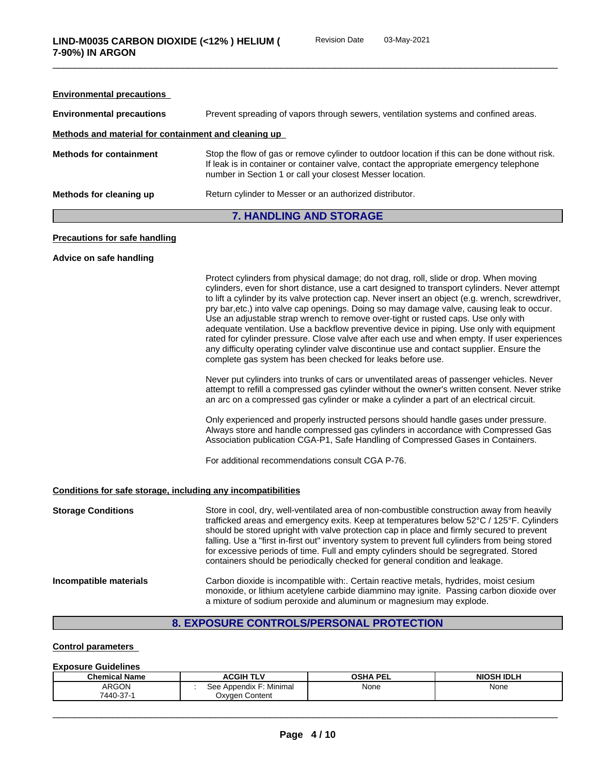| <b>Environmental precautions</b>                     |                                                                                                                                                                                                                                                                                                                                                                                                                                                                                                                                                                                                                                                                                                                                                                                                                                     |
|------------------------------------------------------|-------------------------------------------------------------------------------------------------------------------------------------------------------------------------------------------------------------------------------------------------------------------------------------------------------------------------------------------------------------------------------------------------------------------------------------------------------------------------------------------------------------------------------------------------------------------------------------------------------------------------------------------------------------------------------------------------------------------------------------------------------------------------------------------------------------------------------------|
| <b>Environmental precautions</b>                     | Prevent spreading of vapors through sewers, ventilation systems and confined areas.                                                                                                                                                                                                                                                                                                                                                                                                                                                                                                                                                                                                                                                                                                                                                 |
| Methods and material for containment and cleaning up |                                                                                                                                                                                                                                                                                                                                                                                                                                                                                                                                                                                                                                                                                                                                                                                                                                     |
| <b>Methods for containment</b>                       | Stop the flow of gas or remove cylinder to outdoor location if this can be done without risk.<br>If leak is in container or container valve, contact the appropriate emergency telephone<br>number in Section 1 or call your closest Messer location.                                                                                                                                                                                                                                                                                                                                                                                                                                                                                                                                                                               |
| Methods for cleaning up                              | Return cylinder to Messer or an authorized distributor.                                                                                                                                                                                                                                                                                                                                                                                                                                                                                                                                                                                                                                                                                                                                                                             |
|                                                      | <b>7. HANDLING AND STORAGE</b>                                                                                                                                                                                                                                                                                                                                                                                                                                                                                                                                                                                                                                                                                                                                                                                                      |
| <b>Precautions for safe handling</b>                 |                                                                                                                                                                                                                                                                                                                                                                                                                                                                                                                                                                                                                                                                                                                                                                                                                                     |
| Advice on safe handling                              |                                                                                                                                                                                                                                                                                                                                                                                                                                                                                                                                                                                                                                                                                                                                                                                                                                     |
|                                                      | Protect cylinders from physical damage; do not drag, roll, slide or drop. When moving<br>cylinders, even for short distance, use a cart designed to transport cylinders. Never attempt<br>to lift a cylinder by its valve protection cap. Never insert an object (e.g. wrench, screwdriver,<br>pry bar, etc.) into valve cap openings. Doing so may damage valve, causing leak to occur.<br>Use an adjustable strap wrench to remove over-tight or rusted caps. Use only with<br>adequate ventilation. Use a backflow preventive device in piping. Use only with equipment<br>rated for cylinder pressure. Close valve after each use and when empty. If user experiences<br>any difficulty operating cylinder valve discontinue use and contact supplier. Ensure the<br>complete gas system has been checked for leaks before use. |
|                                                      | Never put cylinders into trunks of cars or unventilated areas of passenger vehicles. Never<br>attempt to refill a compressed gas cylinder without the owner's written consent. Never strike<br>an arc on a compressed gas cylinder or make a cylinder a part of an electrical circuit.                                                                                                                                                                                                                                                                                                                                                                                                                                                                                                                                              |
|                                                      | Only experienced and properly instructed persons should handle gases under pressure.<br>Always store and handle compressed gas cylinders in accordance with Compressed Gas<br>Association publication CGA-P1, Safe Handling of Compressed Gases in Containers.                                                                                                                                                                                                                                                                                                                                                                                                                                                                                                                                                                      |
|                                                      | For additional recommendations consult CGA P-76.                                                                                                                                                                                                                                                                                                                                                                                                                                                                                                                                                                                                                                                                                                                                                                                    |
|                                                      |                                                                                                                                                                                                                                                                                                                                                                                                                                                                                                                                                                                                                                                                                                                                                                                                                                     |

# **Conditions for safe storage, including any incompatibilities**

| <b>Storage Conditions</b> | Store in cool, dry, well-ventilated area of non-combustible construction away from heavily<br>trafficked areas and emergency exits. Keep at temperatures below 52°C / 125°F. Cylinders<br>should be stored upright with valve protection cap in place and firmly secured to prevent<br>falling. Use a "first in-first out" inventory system to prevent full cylinders from being stored<br>for excessive periods of time. Full and empty cylinders should be segregrated. Stored<br>containers should be periodically checked for general condition and leakage. |
|---------------------------|------------------------------------------------------------------------------------------------------------------------------------------------------------------------------------------------------------------------------------------------------------------------------------------------------------------------------------------------------------------------------------------------------------------------------------------------------------------------------------------------------------------------------------------------------------------|
| Incompatible materials    | Carbon dioxide is incompatible with:. Certain reactive metals, hydrides, moist cesium<br>monoxide, or lithium acetylene carbide diammino may ignite. Passing carbon dioxide over<br>a mixture of sodium peroxide and aluminum or magnesium may explode.                                                                                                                                                                                                                                                                                                          |

# **8. EXPOSURE CONTROLS/PERSONAL PROTECTION**

# **Control parameters**

#### **Exposure Guidelines**

| <b>Chemical Name</b> | <b>ACGIH TLV</b>                                      | <b>OSHA PEL</b> | <b>NIOSH IDLH</b> |
|----------------------|-------------------------------------------------------|-----------------|-------------------|
| ARGON                | F: Minimal<br>. Appendix F <sup>∙</sup><br>ء ہ<br>Jcc | None            | None              |
| 7440-37-1            | Content<br>Jxvaer                                     |                 |                   |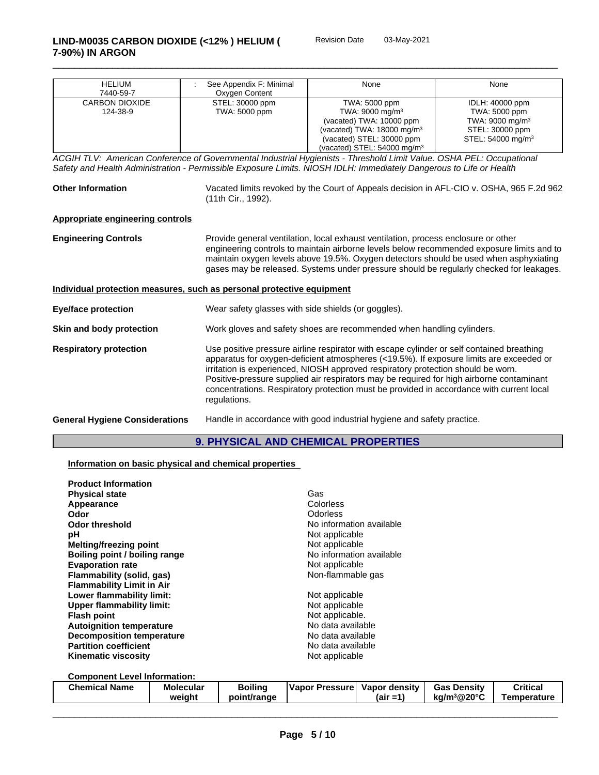| HELIUM<br>7440-59-7        | See Appendix F: Minimal<br>Oxygen Content | None                                                                                                                                                                                    | None                                                                                                                |
|----------------------------|-------------------------------------------|-----------------------------------------------------------------------------------------------------------------------------------------------------------------------------------------|---------------------------------------------------------------------------------------------------------------------|
| CARBON DIOXIDE<br>124-38-9 | STEL: 30000 ppm<br>TWA: 5000 ppm          | TWA: 5000 ppm<br>TWA: $9000 \text{ mg/m}^3$<br>(vacated) TWA: 10000 ppm<br>(vacated) TWA: $18000 \text{ mg/m}^3$<br>(vacated) STEL: 30000 ppm<br>(vacated) STEL: $54000 \text{ mg/m}^3$ | IDLH: 40000 ppm<br>TWA: 5000 ppm<br>TWA: 9000 mg/m <sup>3</sup><br>STEL: 30000 ppm<br>STEL: 54000 mg/m <sup>3</sup> |

*ACGIH TLV: American Conference of Governmental Industrial Hygienists - Threshold Limit Value. OSHA PEL: Occupational* Safety and Health Administration - Permissible Exposure Limits. NIOSH IDLH: Immediately Dangerous to Life or Health

**Other Information** Vacated limits revoked by the Court of Appeals decision in AFL-CIO v.OSHA, 965 F.2d 962 (11th Cir., 1992).

#### **Appropriate engineering controls**

| <b>Engineering Controls</b>           | Provide general ventilation, local exhaust ventilation, process enclosure or other<br>engineering controls to maintain airborne levels below recommended exposure limits and to<br>maintain oxygen levels above 19.5%. Oxygen detectors should be used when asphyxiating<br>gases may be released. Systems under pressure should be regularly checked for leakages.                                                                                                              |
|---------------------------------------|----------------------------------------------------------------------------------------------------------------------------------------------------------------------------------------------------------------------------------------------------------------------------------------------------------------------------------------------------------------------------------------------------------------------------------------------------------------------------------|
|                                       | Individual protection measures, such as personal protective equipment                                                                                                                                                                                                                                                                                                                                                                                                            |
| <b>Eye/face protection</b>            | Wear safety glasses with side shields (or goggles).                                                                                                                                                                                                                                                                                                                                                                                                                              |
| Skin and body protection              | Work gloves and safety shoes are recommended when handling cylinders.                                                                                                                                                                                                                                                                                                                                                                                                            |
| <b>Respiratory protection</b>         | Use positive pressure airline respirator with escape cylinder or self contained breathing<br>apparatus for oxygen-deficient atmospheres (<19.5%). If exposure limits are exceeded or<br>irritation is experienced, NIOSH approved respiratory protection should be worn.<br>Positive-pressure supplied air respirators may be required for high airborne contaminant<br>concentrations. Respiratory protection must be provided in accordance with current local<br>regulations. |
| <b>General Hygiene Considerations</b> | Handle in accordance with good industrial hygiene and safety practice.                                                                                                                                                                                                                                                                                                                                                                                                           |

# **9. PHYSICAL AND CHEMICAL PROPERTIES**

### **Information on basic physical and chemical properties**

| <b>Product Information</b>       |                          |
|----------------------------------|--------------------------|
| <b>Physical state</b>            | Gas                      |
| Appearance                       | Colorless                |
| <b>Odor</b>                      | Odorless                 |
| <b>Odor threshold</b>            | No information available |
| рH                               | Not applicable           |
| Melting/freezing point           | Not applicable           |
| Boiling point / boiling range    | No information available |
| <b>Evaporation rate</b>          | Not applicable           |
| Flammability (solid, gas)        | Non-flammable gas        |
| <b>Flammability Limit in Air</b> |                          |
| Lower flammability limit:        | Not applicable           |
| Upper flammability limit:        | Not applicable           |
| <b>Flash point</b>               | Not applicable.          |
| <b>Autoignition temperature</b>  | No data available        |
| <b>Decomposition temperature</b> | No data available        |
| <b>Partition coefficient</b>     | No data available        |
| <b>Kinematic viscosity</b>       | Not applicable           |

**Component Level Information:**

| ____________________________________ |                  |                |                  |                   |                         |                    |
|--------------------------------------|------------------|----------------|------------------|-------------------|-------------------------|--------------------|
| <b>Chemical Name</b>                 | <b>Molecular</b> | <b>Boiling</b> | ⊺Vapor Pressure⊺ | ⊺densitv<br>Vapor | <b>: Densitv</b><br>Gas | Critical           |
|                                      | weiaht           | point/range    |                  | (air              | ka/m <sup>3</sup> @20°C | <b>Femperature</b> |
|                                      |                  |                |                  |                   |                         |                    |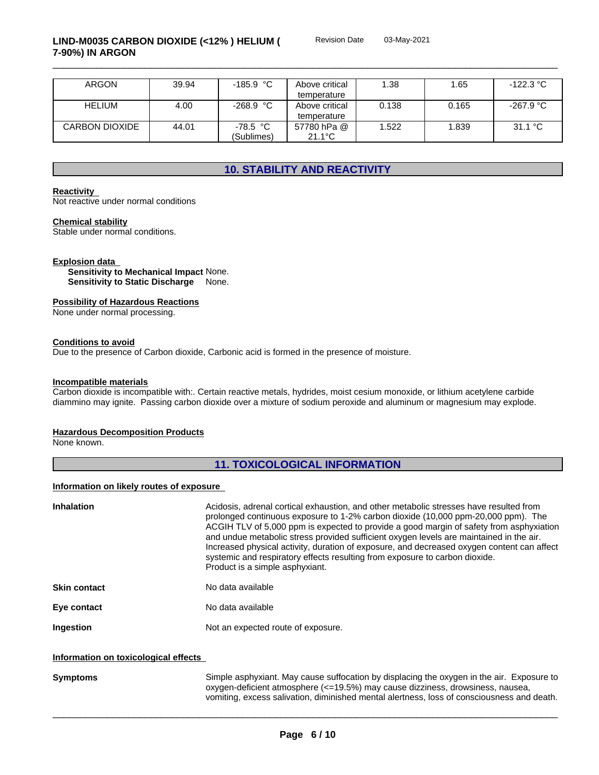\_\_\_\_\_\_\_\_\_\_\_\_\_\_\_\_\_\_\_\_\_\_\_\_\_\_\_\_\_\_\_\_\_\_\_\_\_\_\_\_\_\_\_\_\_\_\_\_\_\_\_\_\_\_\_\_\_\_\_\_\_\_\_\_\_\_\_\_\_\_\_\_\_\_\_\_\_\_\_\_\_\_\_\_\_\_\_\_\_\_\_\_\_ **LIND-M0035 CARBON DIOXIDE (<12% ) HELIUM ( 7-90%) IN ARGON**

03-May-2021

| <b>ARGON</b>   | 39.94 | $-185.9 °C$              | Above critical<br>temperature   | l.38  | 65. ا | $-122.3 °C$ |
|----------------|-------|--------------------------|---------------------------------|-------|-------|-------------|
| <b>HELIUM</b>  | 4.00  | $-268.9 °C$              | Above critical<br>temperature   | 0.138 | 0.165 | $-267.9 °C$ |
| CARBON DIOXIDE | 44.01 | $-78.5 °C$<br>(Sublimes) | 57780 hPa @<br>$21.1^{\circ}$ C | .522  | .839  | 31.1 °C     |

# **10. STABILITY AND REACTIVITY**

#### **Reactivity**

Not reactive under normal conditions

#### **Chemical stability**

Stable under normal conditions.

#### **Explosion data**

**Sensitivity to Mechanical Impact** None. **Sensitivity to Static Discharge** None.

#### **Possibility of Hazardous Reactions**

None under normal processing.

#### **Conditions to avoid**

Due to the presence of Carbon dioxide, Carbonic acid is formed in the presence of moisture.

#### **Incompatible materials**

Carbon dioxide isincompatible with:. Certain reactive metals, hydrides, moist cesium monoxide, or lithium acetylene carbide diammino may ignite. Passing carbon dioxide over a mixture of sodium peroxide and aluminum or magnesium may explode.

#### **Hazardous Decomposition Products**

None known.

# **11. TOXICOLOGICAL INFORMATION**

#### **Information on likely routes of exposure**

| <b>Inhalation</b>                    | Acidosis, adrenal cortical exhaustion, and other metabolic stresses have resulted from<br>prolonged continuous exposure to 1-2% carbon dioxide (10,000 ppm-20,000 ppm). The<br>ACGIH TLV of 5,000 ppm is expected to provide a good margin of safety from asphyxiation<br>and undue metabolic stress provided sufficient oxygen levels are maintained in the air.<br>Increased physical activity, duration of exposure, and decreased oxygen content can affect<br>systemic and respiratory effects resulting from exposure to carbon dioxide.<br>Product is a simple asphyxiant. |  |  |  |
|--------------------------------------|-----------------------------------------------------------------------------------------------------------------------------------------------------------------------------------------------------------------------------------------------------------------------------------------------------------------------------------------------------------------------------------------------------------------------------------------------------------------------------------------------------------------------------------------------------------------------------------|--|--|--|
| <b>Skin contact</b>                  | No data available                                                                                                                                                                                                                                                                                                                                                                                                                                                                                                                                                                 |  |  |  |
| Eye contact                          | No data available                                                                                                                                                                                                                                                                                                                                                                                                                                                                                                                                                                 |  |  |  |
| <b>Ingestion</b>                     | Not an expected route of exposure.                                                                                                                                                                                                                                                                                                                                                                                                                                                                                                                                                |  |  |  |
| Information on toxicological effects |                                                                                                                                                                                                                                                                                                                                                                                                                                                                                                                                                                                   |  |  |  |
| <b>Symptoms</b>                      | Simple asphyxiant. May cause suffocation by displacing the oxygen in the air. Exposure to<br>oxygen-deficient atmosphere (<=19.5%) may cause dizziness, drowsiness, nausea,<br>vomiting, excess salivation, diminished mental alertness, loss of consciousness and death.                                                                                                                                                                                                                                                                                                         |  |  |  |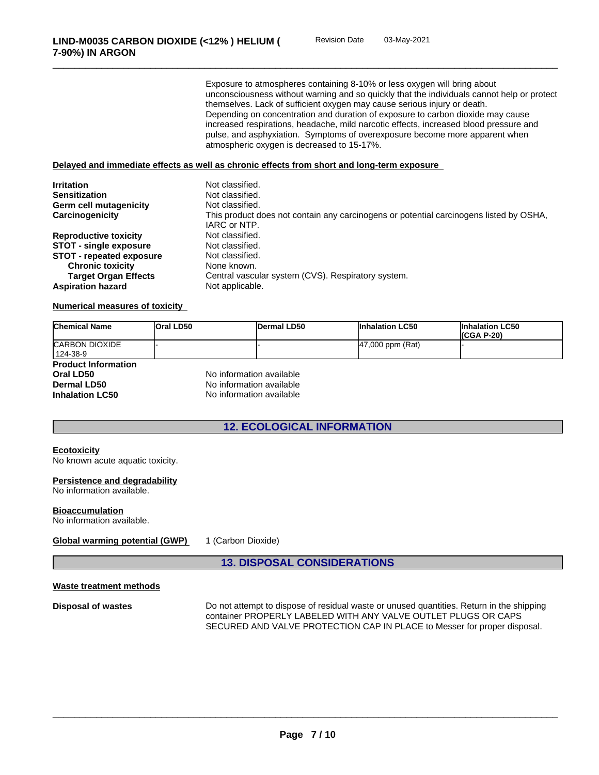Exposure to atmospheres containing 8-10% or less oxygen will bring about unconsciousness without warning and so quickly that the individuals cannot help or protect themselves. Lack of sufficient oxygen may cause serious injury or death. Depending on concentration and duration of exposure to carbon dioxide may cause increased respirations, headache, mild narcotic effects, increased blood pressure and pulse, and asphyxiation. Symptoms of overexposure become more apparent when atmospheric oxygen is decreased to 15-17%.

#### **Delayed and immediate effects as well as chronic effects from short and long-term exposure**

| <b>Irritation</b>               | Not classified.                                                                                        |
|---------------------------------|--------------------------------------------------------------------------------------------------------|
| <b>Sensitization</b>            | Not classified.                                                                                        |
| <b>Germ cell mutagenicity</b>   | Not classified.                                                                                        |
| Carcinogenicity                 | This product does not contain any carcinogens or potential carcinogens listed by OSHA,<br>IARC or NTP. |
| <b>Reproductive toxicity</b>    | Not classified.                                                                                        |
| <b>STOT - single exposure</b>   | Not classified.                                                                                        |
| <b>STOT</b> - repeated exposure | Not classified.                                                                                        |
| <b>Chronic toxicity</b>         | None known.                                                                                            |
| <b>Target Organ Effects</b>     | Central vascular system (CVS). Respiratory system.                                                     |
| <b>Aspiration hazard</b>        | Not applicable.                                                                                        |

#### **Numerical measures of toxicity**

| <b>Chemical Name</b>       | <b>Oral LD50</b>         | Dermal LD50              | <b>Inhalation LC50</b> | <b>Inhalation LC50</b><br>I(CGA P-20) |  |
|----------------------------|--------------------------|--------------------------|------------------------|---------------------------------------|--|
| <b>CARBON DIOXIDE</b>      |                          |                          | $ 47,000$ ppm (Rat)    |                                       |  |
| 124-38-9                   |                          |                          |                        |                                       |  |
| <b>Product Information</b> |                          |                          |                        |                                       |  |
| Oral LD50                  | No information available |                          |                        |                                       |  |
| Dermal LD50                | No information available |                          |                        |                                       |  |
| <b>Inhalation LC50</b>     |                          | No information available |                        |                                       |  |

#### **12. ECOLOGICAL INFORMATION**

#### **Ecotoxicity**

No known acute aquatic toxicity.

# **Persistence and degradability**

No information available.

#### **Bioaccumulation**

No information available.

#### **Global warming potential (GWP)** 1 (Carbon Dioxide)

**13. DISPOSAL CONSIDERATIONS**

#### **Waste treatment methods**

**Disposal of wastes** Do not attempt to dispose of residual waste or unused quantities. Return in the shipping container PROPERLY LABELED WITH ANY VALVE OUTLET PLUGS OR CAPS SECURED AND VALVE PROTECTION CAP IN PLACE to Messer for proper disposal.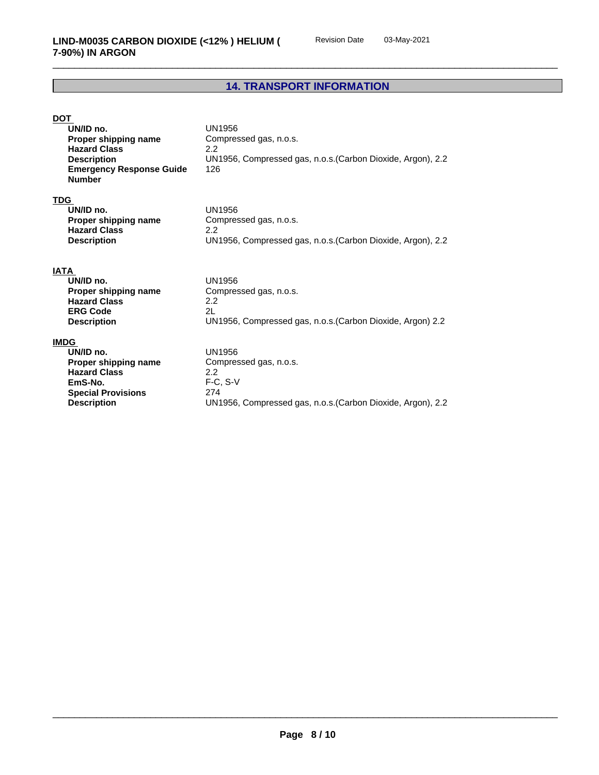# **14. TRANSPORT INFORMATION**

# **DOT**

| UN/ID no.                       | UN1956                                                      |
|---------------------------------|-------------------------------------------------------------|
| Proper shipping name            | Compressed gas, n.o.s.                                      |
| <b>Hazard Class</b>             | 2.2                                                         |
| <b>Description</b>              | UN1956, Compressed gas, n.o.s. (Carbon Dioxide, Argon), 2.2 |
| <b>Emergency Response Guide</b> | 126                                                         |
| <b>Number</b>                   |                                                             |

# **TDG**

| UN/ID no.            | UN1956                                                      |
|----------------------|-------------------------------------------------------------|
| Proper shipping name | Compressed gas, n.o.s.                                      |
| <b>Hazard Class</b>  |                                                             |
| <b>Description</b>   | UN1956, Compressed gas, n.o.s. (Carbon Dioxide, Argon), 2.2 |

# **IATA**

| UN/ID no.            | UN1956                                                     |
|----------------------|------------------------------------------------------------|
| Proper shipping name | Compressed gas, n.o.s.                                     |
| <b>Hazard Class</b>  | 2.2                                                        |
| <b>ERG Code</b>      | 2L                                                         |
| <b>Description</b>   | UN1956, Compressed gas, n.o.s. (Carbon Dioxide, Argon) 2.2 |

# **IMDG**

| UN/ID no.                 | UN1956                                                      |
|---------------------------|-------------------------------------------------------------|
| Proper shipping name      | Compressed gas, n.o.s.                                      |
| <b>Hazard Class</b>       | 2.2                                                         |
| EmS-No.                   | $F-C. S-V$                                                  |
| <b>Special Provisions</b> | 274                                                         |
| <b>Description</b>        | UN1956, Compressed gas, n.o.s. (Carbon Dioxide, Argon), 2.2 |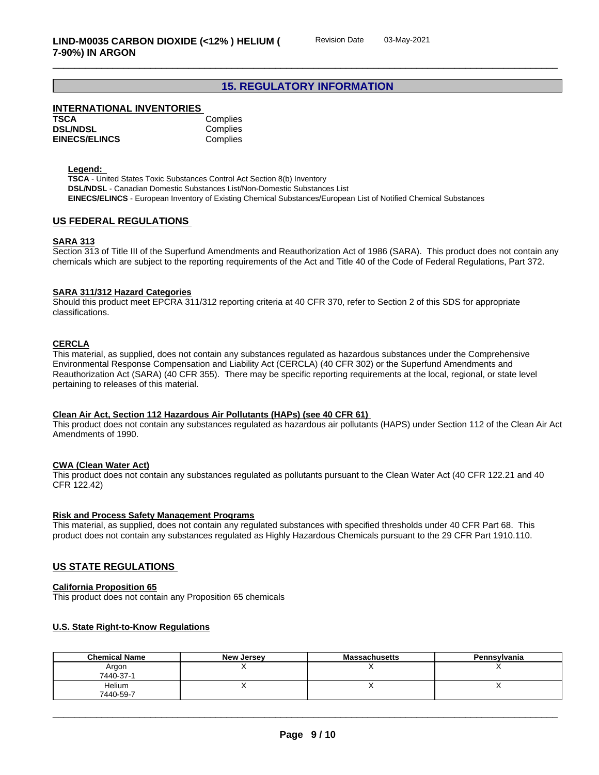# **15. REGULATORY INFORMATION**

# **INTERNATIONAL INVENTORIES**

| <b>TSCA</b>          | Complies |
|----------------------|----------|
| <b>DSL/NDSL</b>      | Complies |
| <b>EINECS/ELINCS</b> | Complies |
|                      |          |

**Legend:** 

**TSCA** - United States Toxic Substances Control Act Section 8(b) Inventory **DSL/NDSL** - Canadian Domestic Substances List/Non-Domestic Substances List **EINECS/ELINCS** - European Inventory of Existing Chemical Substances/European List of Notified Chemical Substances

### **US FEDERAL REGULATIONS**

#### **SARA 313**

Section 313 of Title III of the Superfund Amendments and Reauthorization Act of 1986 (SARA). This product does not contain any chemicals which are subject to the reporting requirements of the Act and Title 40 of the Code of Federal Regulations, Part 372.

#### **SARA 311/312 Hazard Categories**

Should this product meet EPCRA 311/312 reporting criteria at 40 CFR 370, refer to Section 2 of this SDS for appropriate classifications.

#### **CERCLA**

This material, as supplied, does not contain any substances regulated as hazardous substances under the Comprehensive Environmental Response Compensation and Liability Act (CERCLA) (40 CFR 302) or the Superfund Amendments and Reauthorization Act (SARA) (40 CFR 355). There may be specific reporting requirements at the local, regional, or state level pertaining to releases of this material.

#### **Clean Air Act,Section 112 Hazardous Air Pollutants (HAPs) (see 40 CFR 61)**

This product does not contain any substances regulated as hazardous air pollutants (HAPS) under Section 112 of the Clean Air Act Amendments of 1990.

#### **CWA** (Clean Water Act)

This product does not contain any substances regulated as pollutants pursuant to the Clean Water Act (40 CFR 122.21 and 40 CFR 122.42)

#### **Risk and Process Safety Management Programs**

This material, as supplied, does not contain any regulated substances with specified thresholds under 40 CFR Part 68. This product does not contain any substances regulated as Highly Hazardous Chemicals pursuant to the 29 CFR Part 1910.110.

#### **US STATE REGULATIONS**

#### **California Proposition 65**

This product does not contain any Proposition 65 chemicals

#### **U.S. State Right-to-Know Regulations**

| <b>Chemical Name</b> | New Jersey | <b>Massachusetts</b> | Pennsylvania |
|----------------------|------------|----------------------|--------------|
| Argon<br>7440-37-1   |            |                      | . .          |
| Helium<br>7440-59-7  |            |                      |              |